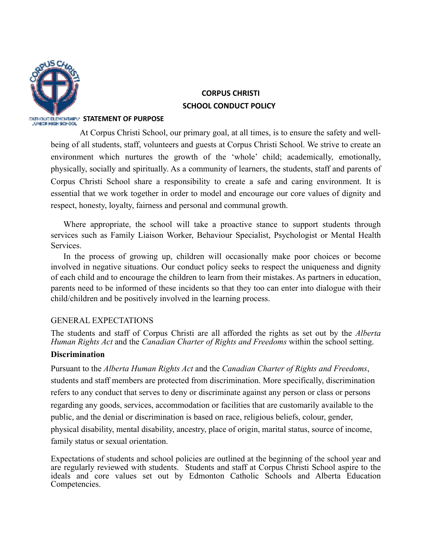

# **CORPUS CHRISTI SCHOOL CONDUCT POLICY**

#### **SATHOLIC BLEMENTARY STATEMENT OF PURPOSE**

At Corpus Christi School, our primary goal, at all times, is to ensure the safety and wellbeing of all students, staff, volunteers and guests at Corpus Christi School. We strive to create an environment which nurtures the growth of the 'whole' child; academically, emotionally, physically, socially and spiritually. As a community of learners, the students, staff and parents of Corpus Christi School share a responsibility to create a safe and caring environment. It is essential that we work together in order to model and encourage our core values of dignity and respect, honesty, loyalty, fairness and personal and communal growth.

Where appropriate, the school will take a proactive stance to support students through services such as Family Liaison Worker, Behaviour Specialist, Psychologist or Mental Health Services.

In the process of growing up, children will occasionally make poor choices or become involved in negative situations. Our conduct policy seeks to respect the uniqueness and dignity of each child and to encourage the children to learn from their mistakes. As partners in education, parents need to be informed of these incidents so that they too can enter into dialogue with their child/children and be positively involved in the learning process.

# GENERAL EXPECTATIONS

The students and staff of Corpus Christi are all afforded the rights as set out by the *Alberta Human Rights Act* and the *Canadian Charter of Rights and Freedoms* within the school setting.

### **Discrimination**

Pursuant to the *Alberta Human Rights Act* and the *Canadian Charter of Rights and Freedoms*, students and staff members are protected from discrimination. More specifically, discrimination refers to any conduct that serves to deny or discriminate against any person or class or persons regarding any goods, services, accommodation or facilities that are customarily available to the public, and the denial or discrimination is based on race, religious beliefs, colour, gender, physical disability, mental disability, ancestry, place of origin, marital status, source of income, family status or sexual orientation.

Expectations of students and school policies are outlined at the beginning of the school year and are regularly reviewed with students. Students and staff at Corpus Christi School aspire to the ideals and core values set out by Edmonton Catholic Schools and Alberta Education Competencies.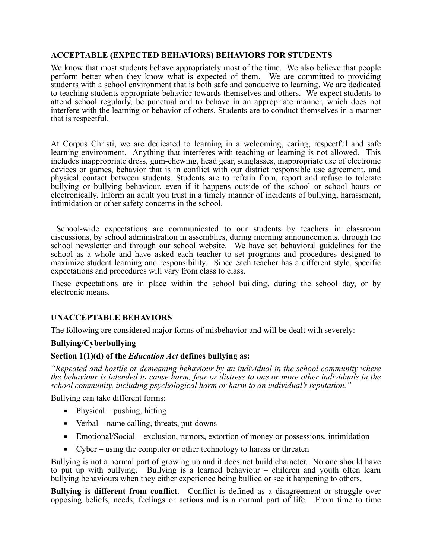### **ACCEPTABLE (EXPECTED BEHAVIORS) BEHAVIORS FOR STUDENTS**

We know that most students behave appropriately most of the time. We also believe that people perform better when they know what is expected of them. We are committed to providing students with a school environment that is both safe and conducive to learning. We are dedicated to teaching students appropriate behavior towards themselves and others. We expect students to attend school regularly, be punctual and to behave in an appropriate manner, which does not interfere with the learning or behavior of others. Students are to conduct themselves in a manner that is respectful.

At Corpus Christi, we are dedicated to learning in a welcoming, caring, respectful and safe learning environment. Anything that interferes with teaching or learning is not allowed. This includes inappropriate dress, gum-chewing, head gear, sunglasses, inappropriate use of electronic devices or games, behavior that is in conflict with our district responsible use agreement, and physical contact between students. Students are to refrain from, report and refuse to tolerate bullying or bullying behaviour, even if it happens outside of the school or school hours or electronically. Inform an adult you trust in a timely manner of incidents of bullying, harassment, intimidation or other safety concerns in the school.

 School-wide expectations are communicated to our students by teachers in classroom discussions, by school administration in assemblies, during morning announcements, through the school newsletter and through our school website. We have set behavioral guidelines for the school as a whole and have asked each teacher to set programs and procedures designed to maximize student learning and responsibility. Since each teacher has a different style, specific expectations and procedures will vary from class to class.

These expectations are in place within the school building, during the school day, or by electronic means.

# **UNACCEPTABLE BEHAVIORS**

The following are considered major forms of misbehavior and will be dealt with severely:

### **Bullying/Cyberbullying**

### **Section 1(1)(d) of the** *Education Act* **defines bullying as:**

*"Repeated and hostile or demeaning behaviour by an individual in the school community where the behaviour is intended to cause harm, fear or distress to one or more other individuals in the school community, including psychological harm or harm to an individual's reputation."*

Bullying can take different forms:

- $\blacksquare$  Physical pushing, hitting
- $\blacksquare$  Verbal name calling, threats, put-downs
- Emotional/Social exclusion, rumors, extortion of money or possessions, intimidation
- Cyber using the computer or other technology to harass or threaten

Bullying is not a normal part of growing up and it does not build character. No one should have to put up with bullying. Bullying is a learned behaviour – children and youth often learn bullying behaviours when they either experience being bullied or see it happening to others.

**Bullying is different from conflict.** Conflict is defined as a disagreement or struggle over opposing beliefs, needs, feelings or actions and is a normal part of life. From time to time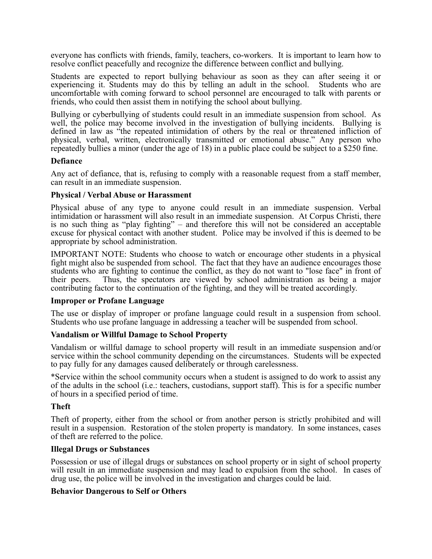everyone has conflicts with friends, family, teachers, co-workers. It is important to learn how to resolve conflict peacefully and recognize the difference between conflict and bullying.

Students are expected to report bullying behaviour as soon as they can after seeing it or experiencing it. Students may do this by telling an adult in the school. Students who are uncomfortable with coming forward to school personnel are encouraged to talk with parents or friends, who could then assist them in notifying the school about bullying.

Bullying or cyberbullying of students could result in an immediate suspension from school. As well, the police may become involved in the investigation of bullying incidents. Bullying is defined in law as "the repeated intimidation of others by the real or threatened infliction of physical, verbal, written, electronically transmitted or emotional abuse." Any person who repeatedly bullies a minor (under the age of 18) in a public place could be subject to a \$250 fine.

#### **Defiance**

Any act of defiance, that is, refusing to comply with a reasonable request from a staff member, can result in an immediate suspension.

#### **Physical / Verbal Abuse or Harassment**

Physical abuse of any type to anyone could result in an immediate suspension. Verbal intimidation or harassment will also result in an immediate suspension. At Corpus Christi, there is no such thing as "play fighting" – and therefore this will not be considered an acceptable excuse for physical contact with another student. Police may be involved if this is deemed to be appropriate by school administration.

IMPORTANT NOTE: Students who choose to watch or encourage other students in a physical fight might also be suspended from school. The fact that they have an audience encourages those students who are fighting to continue the conflict, as they do not want to "lose face" in front of their peers. Thus, the spectators are viewed by school administration as being a major contributing factor to the continuation of the fighting, and they will be treated accordingly.

#### **Improper or Profane Language**

The use or display of improper or profane language could result in a suspension from school. Students who use profane language in addressing a teacher will be suspended from school.

#### **Vandalism or Willful Damage to School Property**

Vandalism or willful damage to school property will result in an immediate suspension and/or service within the school community depending on the circumstances. Students will be expected to pay fully for any damages caused deliberately or through carelessness.

\*Service within the school community occurs when a student is assigned to do work to assist any of the adults in the school (i.e.: teachers, custodians, support staff). This is for a specific number of hours in a specified period of time.

#### **Theft**

Theft of property, either from the school or from another person is strictly prohibited and will result in a suspension. Restoration of the stolen property is mandatory. In some instances, cases of theft are referred to the police.

#### **Illegal Drugs or Substances**

Possession or use of illegal drugs or substances on school property or in sight of school property will result in an immediate suspension and may lead to expulsion from the school. In cases of drug use, the police will be involved in the investigation and charges could be laid.

#### **Behavior Dangerous to Self or Others**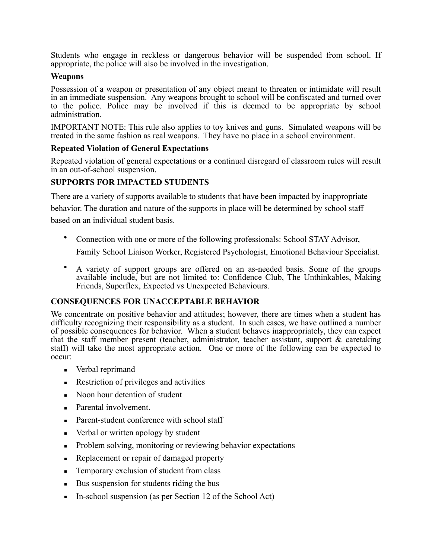Students who engage in reckless or dangerous behavior will be suspended from school. If appropriate, the police will also be involved in the investigation.

### **Weapons**

Possession of a weapon or presentation of any object meant to threaten or intimidate will result in an immediate suspension. Any weapons brought to school will be confiscated and turned over to the police. Police may be involved if this is deemed to be appropriate by school administration.

IMPORTANT NOTE: This rule also applies to toy knives and guns. Simulated weapons will be treated in the same fashion as real weapons. They have no place in a school environment.

### **Repeated Violation of General Expectations**

Repeated violation of general expectations or a continual disregard of classroom rules will result in an out-of-school suspension.

# **SUPPORTS FOR IMPACTED STUDENTS**

There are a variety of supports available to students that have been impacted by inappropriate

behavior. The duration and nature of the supports in place will be determined by school staff based on an individual student basis.

• Connection with one or more of the following professionals: School STAY Advisor,

Family School Liaison Worker, Registered Psychologist, Emotional Behaviour Specialist.

• A variety of support groups are offered on an as-needed basis. Some of the groups available include, but are not limited to: Confidence Club, The Unthinkables, Making Friends, Superflex, Expected vs Unexpected Behaviours.

# **CONSEQUENCES FOR UNACCEPTABLE BEHAVIOR**

We concentrate on positive behavior and attitudes; however, there are times when a student has difficulty recognizing their responsibility as a student. In such cases, we have outlined a number of possible consequences for behavior. When a student behaves inappropriately, they can expect that the staff member present (teacher, administrator, teacher assistant, support  $\&$  caretaking staff) will take the most appropriate action. One or more of the following can be expected to occur:

- Verbal reprimand
- Restriction of privileges and activities
- Noon hour detention of student
- Parental involvement.
- Parent-student conference with school staff
- Verbal or written apology by student
- Problem solving, monitoring or reviewing behavior expectations
- Replacement or repair of damaged property
- **EXECUTE:** Temporary exclusion of student from class
- Bus suspension for students riding the bus
- **In-school suspension (as per Section 12 of the School Act)**